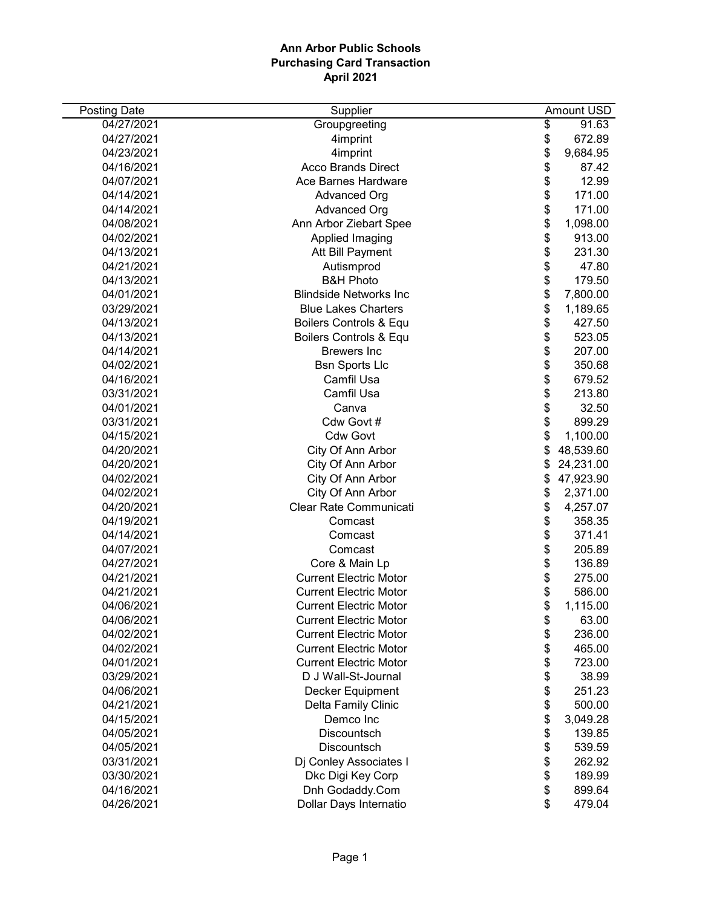| <b>Posting Date</b> | Supplier                      | Amount USD      |
|---------------------|-------------------------------|-----------------|
| 04/27/2021          | Groupgreeting                 | \$<br>91.63     |
| 04/27/2021          | 4imprint                      | \$<br>672.89    |
| 04/23/2021          | 4imprint                      | \$<br>9,684.95  |
| 04/16/2021          | <b>Acco Brands Direct</b>     | \$<br>87.42     |
| 04/07/2021          | Ace Barnes Hardware           | \$<br>12.99     |
| 04/14/2021          | Advanced Org                  | \$<br>171.00    |
| 04/14/2021          | <b>Advanced Org</b>           | \$<br>171.00    |
| 04/08/2021          | Ann Arbor Ziebart Spee        | \$<br>1,098.00  |
| 04/02/2021          | Applied Imaging               | \$<br>913.00    |
| 04/13/2021          | Att Bill Payment              | \$<br>231.30    |
| 04/21/2021          | Autismprod                    | \$<br>47.80     |
| 04/13/2021          | <b>B&amp;H Photo</b>          | \$<br>179.50    |
| 04/01/2021          | <b>Blindside Networks Inc</b> | \$<br>7,800.00  |
| 03/29/2021          | <b>Blue Lakes Charters</b>    | \$<br>1,189.65  |
| 04/13/2021          | Boilers Controls & Equ        | \$<br>427.50    |
| 04/13/2021          | Boilers Controls & Equ        | \$<br>523.05    |
| 04/14/2021          | <b>Brewers</b> Inc            | \$<br>207.00    |
| 04/02/2021          | <b>Bsn Sports Llc</b>         | \$<br>350.68    |
| 04/16/2021          | Camfil Usa                    | \$<br>679.52    |
| 03/31/2021          | Camfil Usa                    | \$<br>213.80    |
| 04/01/2021          | Canva                         | \$<br>32.50     |
| 03/31/2021          | Cdw Govt #                    | \$<br>899.29    |
| 04/15/2021          | <b>Cdw Govt</b>               | \$<br>1,100.00  |
| 04/20/2021          | City Of Ann Arbor             | \$<br>48,539.60 |
| 04/20/2021          | City Of Ann Arbor             | \$<br>24,231.00 |
| 04/02/2021          | City Of Ann Arbor             | \$<br>47,923.90 |
| 04/02/2021          | City Of Ann Arbor             | \$<br>2,371.00  |
| 04/20/2021          | Clear Rate Communicati        | \$<br>4,257.07  |
| 04/19/2021          | Comcast                       | \$<br>358.35    |
| 04/14/2021          | Comcast                       | \$<br>371.41    |
| 04/07/2021          | Comcast                       | \$<br>205.89    |
| 04/27/2021          | Core & Main Lp                | \$<br>136.89    |
| 04/21/2021          | <b>Current Electric Motor</b> | \$<br>275.00    |
| 04/21/2021          | <b>Current Electric Motor</b> | \$<br>586.00    |
| 04/06/2021          | <b>Current Electric Motor</b> | \$<br>1,115.00  |
| 04/06/2021          | <b>Current Electric Motor</b> | \$<br>63.00     |
| 04/02/2021          | <b>Current Electric Motor</b> | \$<br>236.00    |
| 04/02/2021          | <b>Current Electric Motor</b> | \$<br>465.00    |
| 04/01/2021          | <b>Current Electric Motor</b> | \$<br>723.00    |
| 03/29/2021          | D J Wall-St-Journal           | \$<br>38.99     |
| 04/06/2021          | Decker Equipment              | \$<br>251.23    |
| 04/21/2021          | Delta Family Clinic           | \$<br>500.00    |
| 04/15/2021          | Demco Inc                     | \$<br>3,049.28  |
| 04/05/2021          | Discountsch                   | \$<br>139.85    |
| 04/05/2021          | Discountsch                   | \$<br>539.59    |
| 03/31/2021          | Di Conley Associates I        | \$<br>262.92    |
| 03/30/2021          | Dkc Digi Key Corp             | \$<br>189.99    |
| 04/16/2021          | Dnh Godaddy.Com               | \$<br>899.64    |
| 04/26/2021          | Dollar Days Internatio        | \$<br>479.04    |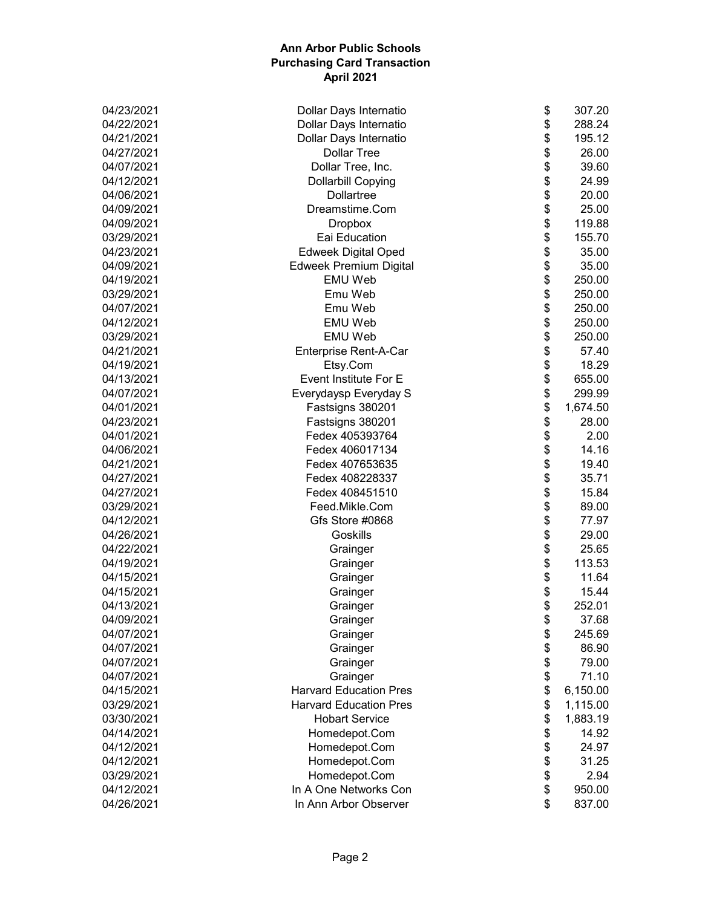| \$<br>288.24<br>04/22/2021<br>Dollar Days Internatio<br>\$<br>04/21/2021<br>Dollar Days Internatio<br>195.12<br>\$<br>04/27/2021<br><b>Dollar Tree</b><br>26.00<br>\$<br>04/07/2021<br>Dollar Tree, Inc.<br>39.60<br>\$<br>04/12/2021<br>24.99<br><b>Dollarbill Copying</b><br>\$<br>20.00<br>04/06/2021<br>Dollartree<br>\$<br>Dreamstime.Com<br>25.00<br>04/09/2021<br>\$<br>119.88<br>04/09/2021<br><b>Dropbox</b><br>\$<br>155.70<br>03/29/2021<br>Eai Education<br>\$<br><b>Edweek Digital Oped</b><br>04/23/2021<br>35.00<br>\$<br>04/09/2021<br><b>Edweek Premium Digital</b><br>35.00<br>\$<br><b>EMU Web</b><br>04/19/2021<br>250.00<br>\$<br>Emu Web<br>03/29/2021<br>250.00<br>\$<br>Emu Web<br>04/07/2021<br>250.00<br>\$<br>04/12/2021<br><b>EMU Web</b><br>250.00<br>\$<br>03/29/2021<br><b>EMU Web</b><br>250.00<br>\$<br>04/21/2021<br>Enterprise Rent-A-Car<br>57.40<br>\$<br>04/19/2021<br>18.29<br>Etsy.Com<br>\$<br>Event Institute For E<br>04/13/2021<br>655.00<br>\$<br>04/07/2021<br>Everydaysp Everyday S<br>299.99<br>\$<br>04/01/2021<br>Fastsigns 380201<br>1,674.50<br>\$<br>04/23/2021<br>Fastsigns 380201<br>28.00<br>\$<br>Fedex 405393764<br>04/01/2021<br>2.00<br>\$<br>14.16<br>04/06/2021<br>Fedex 406017134<br>\$<br>19.40<br>04/21/2021<br>Fedex 407653635<br>\$<br>04/27/2021<br>Fedex 408228337<br>35.71<br>\$<br>Fedex 408451510<br>15.84<br>04/27/2021<br>\$<br>Feed.Mikle.Com<br>03/29/2021<br>89.00<br>\$<br>04/12/2021<br>Gfs Store #0868<br>77.97<br>\$<br>29.00<br>04/26/2021<br>Goskills<br>\$<br>25.65<br>04/22/2021<br>Grainger<br>\$<br>113.53<br>04/19/2021<br>Grainger<br>\$<br>04/15/2021<br>11.64<br>Grainger<br>\$<br>04/15/2021<br>15.44<br>Grainger<br>\$<br>252.01<br>04/13/2021<br>Grainger<br>04/09/2021<br>Grainger<br>\$<br>37.68<br>\$<br>04/07/2021<br>Grainger<br>245.69<br>\$<br>04/07/2021<br>86.90<br>Grainger<br>\$<br>Grainger<br>79.00<br>04/07/2021<br>\$<br>Grainger<br>71.10<br>04/07/2021<br>\$<br><b>Harvard Education Pres</b><br>04/15/2021<br>6,150.00<br>\$<br>03/29/2021<br><b>Harvard Education Pres</b><br>1,115.00<br>\$<br>03/30/2021<br><b>Hobart Service</b><br>1,883.19<br>\$<br>14.92<br>04/14/2021<br>Homedepot.Com<br>\$<br>04/12/2021<br>24.97<br>Homedepot.Com<br>\$<br>04/12/2021<br>Homedepot.Com<br>31.25<br>\$<br>03/29/2021<br>Homedepot.Com<br>2.94<br>\$<br>In A One Networks Con<br>04/12/2021<br>950.00 | 04/23/2021 | \$<br>Dollar Days Internatio | 307.20 |
|----------------------------------------------------------------------------------------------------------------------------------------------------------------------------------------------------------------------------------------------------------------------------------------------------------------------------------------------------------------------------------------------------------------------------------------------------------------------------------------------------------------------------------------------------------------------------------------------------------------------------------------------------------------------------------------------------------------------------------------------------------------------------------------------------------------------------------------------------------------------------------------------------------------------------------------------------------------------------------------------------------------------------------------------------------------------------------------------------------------------------------------------------------------------------------------------------------------------------------------------------------------------------------------------------------------------------------------------------------------------------------------------------------------------------------------------------------------------------------------------------------------------------------------------------------------------------------------------------------------------------------------------------------------------------------------------------------------------------------------------------------------------------------------------------------------------------------------------------------------------------------------------------------------------------------------------------------------------------------------------------------------------------------------------------------------------------------------------------------------------------------------------------------------------------------------------------------------------------------------------------------------------------------------------------------------------------------------------------------------------------------------------------------------|------------|------------------------------|--------|
|                                                                                                                                                                                                                                                                                                                                                                                                                                                                                                                                                                                                                                                                                                                                                                                                                                                                                                                                                                                                                                                                                                                                                                                                                                                                                                                                                                                                                                                                                                                                                                                                                                                                                                                                                                                                                                                                                                                                                                                                                                                                                                                                                                                                                                                                                                                                                                                                                |            |                              |        |
|                                                                                                                                                                                                                                                                                                                                                                                                                                                                                                                                                                                                                                                                                                                                                                                                                                                                                                                                                                                                                                                                                                                                                                                                                                                                                                                                                                                                                                                                                                                                                                                                                                                                                                                                                                                                                                                                                                                                                                                                                                                                                                                                                                                                                                                                                                                                                                                                                |            |                              |        |
|                                                                                                                                                                                                                                                                                                                                                                                                                                                                                                                                                                                                                                                                                                                                                                                                                                                                                                                                                                                                                                                                                                                                                                                                                                                                                                                                                                                                                                                                                                                                                                                                                                                                                                                                                                                                                                                                                                                                                                                                                                                                                                                                                                                                                                                                                                                                                                                                                |            |                              |        |
|                                                                                                                                                                                                                                                                                                                                                                                                                                                                                                                                                                                                                                                                                                                                                                                                                                                                                                                                                                                                                                                                                                                                                                                                                                                                                                                                                                                                                                                                                                                                                                                                                                                                                                                                                                                                                                                                                                                                                                                                                                                                                                                                                                                                                                                                                                                                                                                                                |            |                              |        |
|                                                                                                                                                                                                                                                                                                                                                                                                                                                                                                                                                                                                                                                                                                                                                                                                                                                                                                                                                                                                                                                                                                                                                                                                                                                                                                                                                                                                                                                                                                                                                                                                                                                                                                                                                                                                                                                                                                                                                                                                                                                                                                                                                                                                                                                                                                                                                                                                                |            |                              |        |
|                                                                                                                                                                                                                                                                                                                                                                                                                                                                                                                                                                                                                                                                                                                                                                                                                                                                                                                                                                                                                                                                                                                                                                                                                                                                                                                                                                                                                                                                                                                                                                                                                                                                                                                                                                                                                                                                                                                                                                                                                                                                                                                                                                                                                                                                                                                                                                                                                |            |                              |        |
|                                                                                                                                                                                                                                                                                                                                                                                                                                                                                                                                                                                                                                                                                                                                                                                                                                                                                                                                                                                                                                                                                                                                                                                                                                                                                                                                                                                                                                                                                                                                                                                                                                                                                                                                                                                                                                                                                                                                                                                                                                                                                                                                                                                                                                                                                                                                                                                                                |            |                              |        |
|                                                                                                                                                                                                                                                                                                                                                                                                                                                                                                                                                                                                                                                                                                                                                                                                                                                                                                                                                                                                                                                                                                                                                                                                                                                                                                                                                                                                                                                                                                                                                                                                                                                                                                                                                                                                                                                                                                                                                                                                                                                                                                                                                                                                                                                                                                                                                                                                                |            |                              |        |
|                                                                                                                                                                                                                                                                                                                                                                                                                                                                                                                                                                                                                                                                                                                                                                                                                                                                                                                                                                                                                                                                                                                                                                                                                                                                                                                                                                                                                                                                                                                                                                                                                                                                                                                                                                                                                                                                                                                                                                                                                                                                                                                                                                                                                                                                                                                                                                                                                |            |                              |        |
|                                                                                                                                                                                                                                                                                                                                                                                                                                                                                                                                                                                                                                                                                                                                                                                                                                                                                                                                                                                                                                                                                                                                                                                                                                                                                                                                                                                                                                                                                                                                                                                                                                                                                                                                                                                                                                                                                                                                                                                                                                                                                                                                                                                                                                                                                                                                                                                                                |            |                              |        |
|                                                                                                                                                                                                                                                                                                                                                                                                                                                                                                                                                                                                                                                                                                                                                                                                                                                                                                                                                                                                                                                                                                                                                                                                                                                                                                                                                                                                                                                                                                                                                                                                                                                                                                                                                                                                                                                                                                                                                                                                                                                                                                                                                                                                                                                                                                                                                                                                                |            |                              |        |
|                                                                                                                                                                                                                                                                                                                                                                                                                                                                                                                                                                                                                                                                                                                                                                                                                                                                                                                                                                                                                                                                                                                                                                                                                                                                                                                                                                                                                                                                                                                                                                                                                                                                                                                                                                                                                                                                                                                                                                                                                                                                                                                                                                                                                                                                                                                                                                                                                |            |                              |        |
|                                                                                                                                                                                                                                                                                                                                                                                                                                                                                                                                                                                                                                                                                                                                                                                                                                                                                                                                                                                                                                                                                                                                                                                                                                                                                                                                                                                                                                                                                                                                                                                                                                                                                                                                                                                                                                                                                                                                                                                                                                                                                                                                                                                                                                                                                                                                                                                                                |            |                              |        |
|                                                                                                                                                                                                                                                                                                                                                                                                                                                                                                                                                                                                                                                                                                                                                                                                                                                                                                                                                                                                                                                                                                                                                                                                                                                                                                                                                                                                                                                                                                                                                                                                                                                                                                                                                                                                                                                                                                                                                                                                                                                                                                                                                                                                                                                                                                                                                                                                                |            |                              |        |
|                                                                                                                                                                                                                                                                                                                                                                                                                                                                                                                                                                                                                                                                                                                                                                                                                                                                                                                                                                                                                                                                                                                                                                                                                                                                                                                                                                                                                                                                                                                                                                                                                                                                                                                                                                                                                                                                                                                                                                                                                                                                                                                                                                                                                                                                                                                                                                                                                |            |                              |        |
|                                                                                                                                                                                                                                                                                                                                                                                                                                                                                                                                                                                                                                                                                                                                                                                                                                                                                                                                                                                                                                                                                                                                                                                                                                                                                                                                                                                                                                                                                                                                                                                                                                                                                                                                                                                                                                                                                                                                                                                                                                                                                                                                                                                                                                                                                                                                                                                                                |            |                              |        |
|                                                                                                                                                                                                                                                                                                                                                                                                                                                                                                                                                                                                                                                                                                                                                                                                                                                                                                                                                                                                                                                                                                                                                                                                                                                                                                                                                                                                                                                                                                                                                                                                                                                                                                                                                                                                                                                                                                                                                                                                                                                                                                                                                                                                                                                                                                                                                                                                                |            |                              |        |
|                                                                                                                                                                                                                                                                                                                                                                                                                                                                                                                                                                                                                                                                                                                                                                                                                                                                                                                                                                                                                                                                                                                                                                                                                                                                                                                                                                                                                                                                                                                                                                                                                                                                                                                                                                                                                                                                                                                                                                                                                                                                                                                                                                                                                                                                                                                                                                                                                |            |                              |        |
|                                                                                                                                                                                                                                                                                                                                                                                                                                                                                                                                                                                                                                                                                                                                                                                                                                                                                                                                                                                                                                                                                                                                                                                                                                                                                                                                                                                                                                                                                                                                                                                                                                                                                                                                                                                                                                                                                                                                                                                                                                                                                                                                                                                                                                                                                                                                                                                                                |            |                              |        |
|                                                                                                                                                                                                                                                                                                                                                                                                                                                                                                                                                                                                                                                                                                                                                                                                                                                                                                                                                                                                                                                                                                                                                                                                                                                                                                                                                                                                                                                                                                                                                                                                                                                                                                                                                                                                                                                                                                                                                                                                                                                                                                                                                                                                                                                                                                                                                                                                                |            |                              |        |
|                                                                                                                                                                                                                                                                                                                                                                                                                                                                                                                                                                                                                                                                                                                                                                                                                                                                                                                                                                                                                                                                                                                                                                                                                                                                                                                                                                                                                                                                                                                                                                                                                                                                                                                                                                                                                                                                                                                                                                                                                                                                                                                                                                                                                                                                                                                                                                                                                |            |                              |        |
|                                                                                                                                                                                                                                                                                                                                                                                                                                                                                                                                                                                                                                                                                                                                                                                                                                                                                                                                                                                                                                                                                                                                                                                                                                                                                                                                                                                                                                                                                                                                                                                                                                                                                                                                                                                                                                                                                                                                                                                                                                                                                                                                                                                                                                                                                                                                                                                                                |            |                              |        |
|                                                                                                                                                                                                                                                                                                                                                                                                                                                                                                                                                                                                                                                                                                                                                                                                                                                                                                                                                                                                                                                                                                                                                                                                                                                                                                                                                                                                                                                                                                                                                                                                                                                                                                                                                                                                                                                                                                                                                                                                                                                                                                                                                                                                                                                                                                                                                                                                                |            |                              |        |
|                                                                                                                                                                                                                                                                                                                                                                                                                                                                                                                                                                                                                                                                                                                                                                                                                                                                                                                                                                                                                                                                                                                                                                                                                                                                                                                                                                                                                                                                                                                                                                                                                                                                                                                                                                                                                                                                                                                                                                                                                                                                                                                                                                                                                                                                                                                                                                                                                |            |                              |        |
|                                                                                                                                                                                                                                                                                                                                                                                                                                                                                                                                                                                                                                                                                                                                                                                                                                                                                                                                                                                                                                                                                                                                                                                                                                                                                                                                                                                                                                                                                                                                                                                                                                                                                                                                                                                                                                                                                                                                                                                                                                                                                                                                                                                                                                                                                                                                                                                                                |            |                              |        |
|                                                                                                                                                                                                                                                                                                                                                                                                                                                                                                                                                                                                                                                                                                                                                                                                                                                                                                                                                                                                                                                                                                                                                                                                                                                                                                                                                                                                                                                                                                                                                                                                                                                                                                                                                                                                                                                                                                                                                                                                                                                                                                                                                                                                                                                                                                                                                                                                                |            |                              |        |
|                                                                                                                                                                                                                                                                                                                                                                                                                                                                                                                                                                                                                                                                                                                                                                                                                                                                                                                                                                                                                                                                                                                                                                                                                                                                                                                                                                                                                                                                                                                                                                                                                                                                                                                                                                                                                                                                                                                                                                                                                                                                                                                                                                                                                                                                                                                                                                                                                |            |                              |        |
|                                                                                                                                                                                                                                                                                                                                                                                                                                                                                                                                                                                                                                                                                                                                                                                                                                                                                                                                                                                                                                                                                                                                                                                                                                                                                                                                                                                                                                                                                                                                                                                                                                                                                                                                                                                                                                                                                                                                                                                                                                                                                                                                                                                                                                                                                                                                                                                                                |            |                              |        |
|                                                                                                                                                                                                                                                                                                                                                                                                                                                                                                                                                                                                                                                                                                                                                                                                                                                                                                                                                                                                                                                                                                                                                                                                                                                                                                                                                                                                                                                                                                                                                                                                                                                                                                                                                                                                                                                                                                                                                                                                                                                                                                                                                                                                                                                                                                                                                                                                                |            |                              |        |
|                                                                                                                                                                                                                                                                                                                                                                                                                                                                                                                                                                                                                                                                                                                                                                                                                                                                                                                                                                                                                                                                                                                                                                                                                                                                                                                                                                                                                                                                                                                                                                                                                                                                                                                                                                                                                                                                                                                                                                                                                                                                                                                                                                                                                                                                                                                                                                                                                |            |                              |        |
|                                                                                                                                                                                                                                                                                                                                                                                                                                                                                                                                                                                                                                                                                                                                                                                                                                                                                                                                                                                                                                                                                                                                                                                                                                                                                                                                                                                                                                                                                                                                                                                                                                                                                                                                                                                                                                                                                                                                                                                                                                                                                                                                                                                                                                                                                                                                                                                                                |            |                              |        |
|                                                                                                                                                                                                                                                                                                                                                                                                                                                                                                                                                                                                                                                                                                                                                                                                                                                                                                                                                                                                                                                                                                                                                                                                                                                                                                                                                                                                                                                                                                                                                                                                                                                                                                                                                                                                                                                                                                                                                                                                                                                                                                                                                                                                                                                                                                                                                                                                                |            |                              |        |
|                                                                                                                                                                                                                                                                                                                                                                                                                                                                                                                                                                                                                                                                                                                                                                                                                                                                                                                                                                                                                                                                                                                                                                                                                                                                                                                                                                                                                                                                                                                                                                                                                                                                                                                                                                                                                                                                                                                                                                                                                                                                                                                                                                                                                                                                                                                                                                                                                |            |                              |        |
|                                                                                                                                                                                                                                                                                                                                                                                                                                                                                                                                                                                                                                                                                                                                                                                                                                                                                                                                                                                                                                                                                                                                                                                                                                                                                                                                                                                                                                                                                                                                                                                                                                                                                                                                                                                                                                                                                                                                                                                                                                                                                                                                                                                                                                                                                                                                                                                                                |            |                              |        |
|                                                                                                                                                                                                                                                                                                                                                                                                                                                                                                                                                                                                                                                                                                                                                                                                                                                                                                                                                                                                                                                                                                                                                                                                                                                                                                                                                                                                                                                                                                                                                                                                                                                                                                                                                                                                                                                                                                                                                                                                                                                                                                                                                                                                                                                                                                                                                                                                                |            |                              |        |
|                                                                                                                                                                                                                                                                                                                                                                                                                                                                                                                                                                                                                                                                                                                                                                                                                                                                                                                                                                                                                                                                                                                                                                                                                                                                                                                                                                                                                                                                                                                                                                                                                                                                                                                                                                                                                                                                                                                                                                                                                                                                                                                                                                                                                                                                                                                                                                                                                |            |                              |        |
|                                                                                                                                                                                                                                                                                                                                                                                                                                                                                                                                                                                                                                                                                                                                                                                                                                                                                                                                                                                                                                                                                                                                                                                                                                                                                                                                                                                                                                                                                                                                                                                                                                                                                                                                                                                                                                                                                                                                                                                                                                                                                                                                                                                                                                                                                                                                                                                                                |            |                              |        |
|                                                                                                                                                                                                                                                                                                                                                                                                                                                                                                                                                                                                                                                                                                                                                                                                                                                                                                                                                                                                                                                                                                                                                                                                                                                                                                                                                                                                                                                                                                                                                                                                                                                                                                                                                                                                                                                                                                                                                                                                                                                                                                                                                                                                                                                                                                                                                                                                                |            |                              |        |
|                                                                                                                                                                                                                                                                                                                                                                                                                                                                                                                                                                                                                                                                                                                                                                                                                                                                                                                                                                                                                                                                                                                                                                                                                                                                                                                                                                                                                                                                                                                                                                                                                                                                                                                                                                                                                                                                                                                                                                                                                                                                                                                                                                                                                                                                                                                                                                                                                |            |                              |        |
|                                                                                                                                                                                                                                                                                                                                                                                                                                                                                                                                                                                                                                                                                                                                                                                                                                                                                                                                                                                                                                                                                                                                                                                                                                                                                                                                                                                                                                                                                                                                                                                                                                                                                                                                                                                                                                                                                                                                                                                                                                                                                                                                                                                                                                                                                                                                                                                                                |            |                              |        |
|                                                                                                                                                                                                                                                                                                                                                                                                                                                                                                                                                                                                                                                                                                                                                                                                                                                                                                                                                                                                                                                                                                                                                                                                                                                                                                                                                                                                                                                                                                                                                                                                                                                                                                                                                                                                                                                                                                                                                                                                                                                                                                                                                                                                                                                                                                                                                                                                                |            |                              |        |
|                                                                                                                                                                                                                                                                                                                                                                                                                                                                                                                                                                                                                                                                                                                                                                                                                                                                                                                                                                                                                                                                                                                                                                                                                                                                                                                                                                                                                                                                                                                                                                                                                                                                                                                                                                                                                                                                                                                                                                                                                                                                                                                                                                                                                                                                                                                                                                                                                |            |                              |        |
|                                                                                                                                                                                                                                                                                                                                                                                                                                                                                                                                                                                                                                                                                                                                                                                                                                                                                                                                                                                                                                                                                                                                                                                                                                                                                                                                                                                                                                                                                                                                                                                                                                                                                                                                                                                                                                                                                                                                                                                                                                                                                                                                                                                                                                                                                                                                                                                                                |            |                              |        |
|                                                                                                                                                                                                                                                                                                                                                                                                                                                                                                                                                                                                                                                                                                                                                                                                                                                                                                                                                                                                                                                                                                                                                                                                                                                                                                                                                                                                                                                                                                                                                                                                                                                                                                                                                                                                                                                                                                                                                                                                                                                                                                                                                                                                                                                                                                                                                                                                                |            |                              |        |
|                                                                                                                                                                                                                                                                                                                                                                                                                                                                                                                                                                                                                                                                                                                                                                                                                                                                                                                                                                                                                                                                                                                                                                                                                                                                                                                                                                                                                                                                                                                                                                                                                                                                                                                                                                                                                                                                                                                                                                                                                                                                                                                                                                                                                                                                                                                                                                                                                |            |                              |        |
|                                                                                                                                                                                                                                                                                                                                                                                                                                                                                                                                                                                                                                                                                                                                                                                                                                                                                                                                                                                                                                                                                                                                                                                                                                                                                                                                                                                                                                                                                                                                                                                                                                                                                                                                                                                                                                                                                                                                                                                                                                                                                                                                                                                                                                                                                                                                                                                                                |            |                              |        |
|                                                                                                                                                                                                                                                                                                                                                                                                                                                                                                                                                                                                                                                                                                                                                                                                                                                                                                                                                                                                                                                                                                                                                                                                                                                                                                                                                                                                                                                                                                                                                                                                                                                                                                                                                                                                                                                                                                                                                                                                                                                                                                                                                                                                                                                                                                                                                                                                                |            |                              |        |
|                                                                                                                                                                                                                                                                                                                                                                                                                                                                                                                                                                                                                                                                                                                                                                                                                                                                                                                                                                                                                                                                                                                                                                                                                                                                                                                                                                                                                                                                                                                                                                                                                                                                                                                                                                                                                                                                                                                                                                                                                                                                                                                                                                                                                                                                                                                                                                                                                |            |                              |        |
|                                                                                                                                                                                                                                                                                                                                                                                                                                                                                                                                                                                                                                                                                                                                                                                                                                                                                                                                                                                                                                                                                                                                                                                                                                                                                                                                                                                                                                                                                                                                                                                                                                                                                                                                                                                                                                                                                                                                                                                                                                                                                                                                                                                                                                                                                                                                                                                                                | 04/26/2021 | \$<br>In Ann Arbor Observer  | 837.00 |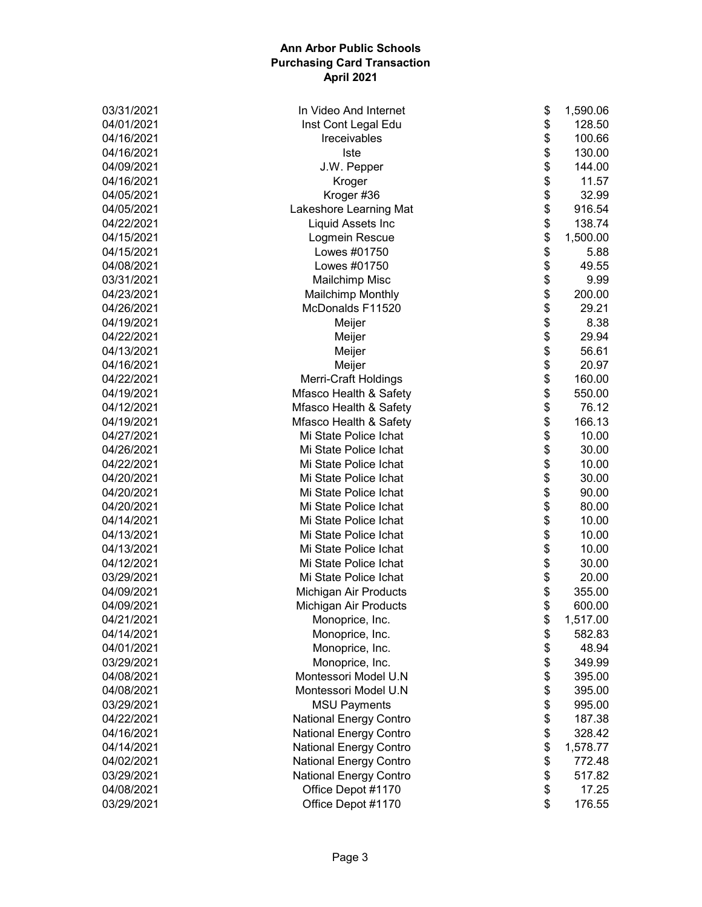| 03/31/2021 | \$<br>In Video And Internet               | 1,590.06 |
|------------|-------------------------------------------|----------|
| 04/01/2021 | \$<br>Inst Cont Legal Edu                 | 128.50   |
| 04/16/2021 | \$<br>Ireceivables                        | 100.66   |
| 04/16/2021 | \$<br><b>Iste</b>                         | 130.00   |
| 04/09/2021 | \$<br>J.W. Pepper                         | 144.00   |
| 04/16/2021 | \$<br>Kroger                              | 11.57    |
| 04/05/2021 | \$<br>Kroger #36                          | 32.99    |
| 04/05/2021 | \$<br>Lakeshore Learning Mat              | 916.54   |
| 04/22/2021 | \$<br>Liquid Assets Inc                   | 138.74   |
| 04/15/2021 | \$<br>Logmein Rescue                      | 1,500.00 |
| 04/15/2021 | \$<br>Lowes #01750                        | 5.88     |
| 04/08/2021 | \$<br>Lowes #01750                        | 49.55    |
| 03/31/2021 | \$<br><b>Mailchimp Misc</b>               | 9.99     |
| 04/23/2021 | \$<br><b>Mailchimp Monthly</b>            | 200.00   |
| 04/26/2021 | \$<br>McDonalds F11520                    | 29.21    |
| 04/19/2021 | \$<br>Meijer                              | 8.38     |
| 04/22/2021 | \$<br>Meijer                              | 29.94    |
| 04/13/2021 | \$<br>Meijer                              | 56.61    |
| 04/16/2021 | \$<br>Meijer                              | 20.97    |
| 04/22/2021 | \$<br><b>Merri-Craft Holdings</b>         | 160.00   |
| 04/19/2021 | \$<br>Mfasco Health & Safety              | 550.00   |
| 04/12/2021 | \$<br>Mfasco Health & Safety              | 76.12    |
| 04/19/2021 | \$<br>Mfasco Health & Safety              | 166.13   |
| 04/27/2021 | \$<br>Mi State Police Ichat               | 10.00    |
| 04/26/2021 | \$<br>Mi State Police Ichat               | 30.00    |
| 04/22/2021 | \$<br>Mi State Police Ichat               | 10.00    |
| 04/20/2021 | \$<br>Mi State Police Ichat               | 30.00    |
| 04/20/2021 | \$<br>Mi State Police Ichat               | 90.00    |
| 04/20/2021 | \$<br>Mi State Police Ichat               | 80.00    |
| 04/14/2021 | \$<br>Mi State Police Ichat               | 10.00    |
| 04/13/2021 | \$<br>Mi State Police Ichat               | 10.00    |
| 04/13/2021 | \$<br>Mi State Police Ichat               | 10.00    |
| 04/12/2021 | \$<br>Mi State Police Ichat               | 30.00    |
| 03/29/2021 | \$<br>Mi State Police Ichat               | 20.00    |
| 04/09/2021 | \$<br>Michigan Air Products               | 355.00   |
| 04/09/2021 | \$<br>Michigan Air Products               | 600.00   |
| 04/21/2021 | Monoprice, Inc.                           | 1,517.00 |
| 04/14/2021 | \$<br>\$<br>Monoprice, Inc.               | 582.83   |
| 04/01/2021 | \$<br>Monoprice, Inc.                     | 48.94    |
| 03/29/2021 | \$<br>Monoprice, Inc.                     | 349.99   |
| 04/08/2021 | \$<br>Montessori Model U.N                | 395.00   |
| 04/08/2021 | \$<br>Montessori Model U.N                | 395.00   |
| 03/29/2021 | \$<br><b>MSU Payments</b>                 | 995.00   |
| 04/22/2021 | \$<br><b>National Energy Contro</b>       | 187.38   |
| 04/16/2021 | \$<br><b>National Energy Contro</b>       | 328.42   |
| 04/14/2021 | \$<br>National Energy Contro              | 1,578.77 |
| 04/02/2021 | <b>National Energy Contro</b>             | 772.48   |
| 03/29/2021 | \$<br>\$<br><b>National Energy Contro</b> | 517.82   |
| 04/08/2021 | \$<br>Office Depot #1170                  | 17.25    |
|            | \$                                        |          |
| 03/29/2021 | Office Depot #1170                        | 176.55   |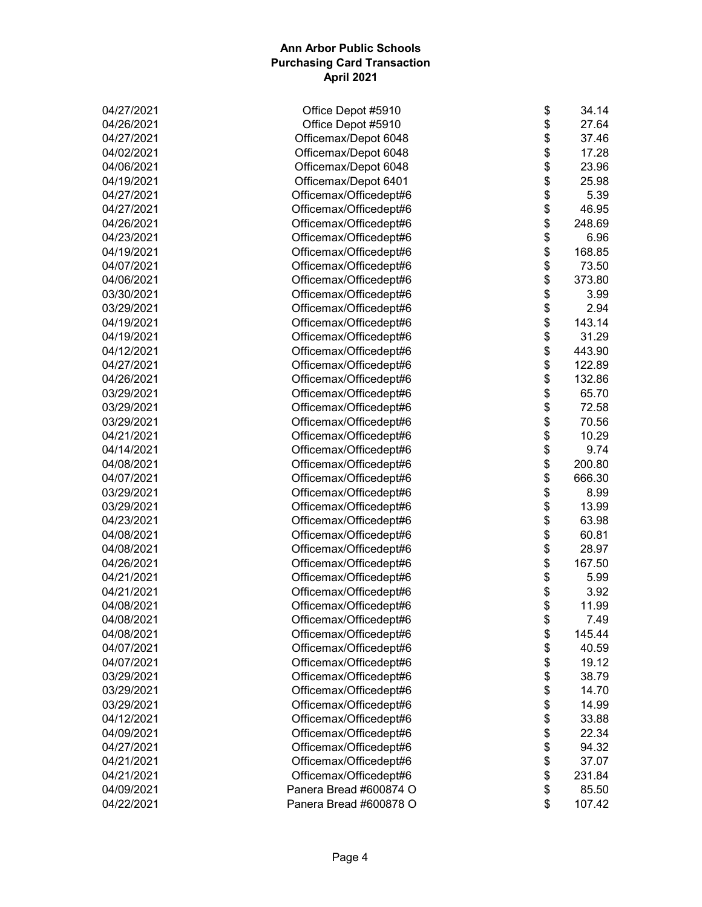| 04/27/2021 | \$<br>Office Depot #5910     | 34.14  |
|------------|------------------------------|--------|
| 04/26/2021 | \$<br>Office Depot #5910     | 27.64  |
| 04/27/2021 | \$<br>Officemax/Depot 6048   | 37.46  |
| 04/02/2021 | \$<br>Officemax/Depot 6048   | 17.28  |
| 04/06/2021 | \$<br>Officemax/Depot 6048   | 23.96  |
| 04/19/2021 | \$<br>Officemax/Depot 6401   | 25.98  |
| 04/27/2021 | \$<br>Officemax/Officedept#6 | 5.39   |
| 04/27/2021 | \$<br>Officemax/Officedept#6 | 46.95  |
| 04/26/2021 | \$<br>Officemax/Officedept#6 | 248.69 |
| 04/23/2021 | \$<br>Officemax/Officedept#6 | 6.96   |
| 04/19/2021 | \$<br>Officemax/Officedept#6 | 168.85 |
| 04/07/2021 | \$<br>Officemax/Officedept#6 | 73.50  |
| 04/06/2021 | \$<br>Officemax/Officedept#6 | 373.80 |
| 03/30/2021 | \$<br>Officemax/Officedept#6 | 3.99   |
| 03/29/2021 | \$<br>Officemax/Officedept#6 | 2.94   |
| 04/19/2021 | \$<br>Officemax/Officedept#6 | 143.14 |
| 04/19/2021 | \$<br>Officemax/Officedept#6 | 31.29  |
| 04/12/2021 | \$<br>Officemax/Officedept#6 | 443.90 |
| 04/27/2021 | \$<br>Officemax/Officedept#6 | 122.89 |
| 04/26/2021 | \$<br>Officemax/Officedept#6 | 132.86 |
| 03/29/2021 | \$<br>Officemax/Officedept#6 | 65.70  |
| 03/29/2021 | \$<br>Officemax/Officedept#6 | 72.58  |
| 03/29/2021 | \$<br>Officemax/Officedept#6 | 70.56  |
| 04/21/2021 | \$                           | 10.29  |
|            | Officemax/Officedept#6<br>\$ |        |
| 04/14/2021 | Officemax/Officedept#6       | 9.74   |
| 04/08/2021 | \$<br>Officemax/Officedept#6 | 200.80 |
| 04/07/2021 | \$<br>Officemax/Officedept#6 | 666.30 |
| 03/29/2021 | \$<br>Officemax/Officedept#6 | 8.99   |
| 03/29/2021 | \$<br>Officemax/Officedept#6 | 13.99  |
| 04/23/2021 | \$<br>Officemax/Officedept#6 | 63.98  |
| 04/08/2021 | \$<br>Officemax/Officedept#6 | 60.81  |
| 04/08/2021 | \$<br>Officemax/Officedept#6 | 28.97  |
| 04/26/2021 | \$<br>Officemax/Officedept#6 | 167.50 |
| 04/21/2021 | \$<br>Officemax/Officedept#6 | 5.99   |
| 04/21/2021 | \$<br>Officemax/Officedept#6 | 3.92   |
| 04/08/2021 | \$<br>Officemax/Officedept#6 | 11.99  |
| 04/08/2021 | Officemax/Officedept#6<br>\$ | 7.49   |
| 04/08/2021 | \$<br>Officemax/Officedept#6 | 145.44 |
| 04/07/2021 | \$<br>Officemax/Officedept#6 | 40.59  |
| 04/07/2021 | \$<br>Officemax/Officedept#6 | 19.12  |
| 03/29/2021 | \$<br>Officemax/Officedept#6 | 38.79  |
| 03/29/2021 | \$<br>Officemax/Officedept#6 | 14.70  |
| 03/29/2021 | \$<br>Officemax/Officedept#6 | 14.99  |
| 04/12/2021 | \$<br>Officemax/Officedept#6 | 33.88  |
| 04/09/2021 | \$<br>Officemax/Officedept#6 | 22.34  |
| 04/27/2021 | \$<br>Officemax/Officedept#6 | 94.32  |
| 04/21/2021 | \$<br>Officemax/Officedept#6 | 37.07  |
| 04/21/2021 | \$<br>Officemax/Officedept#6 | 231.84 |
| 04/09/2021 | \$<br>Panera Bread #600874 O | 85.50  |
| 04/22/2021 | \$<br>Panera Bread #600878 O | 107.42 |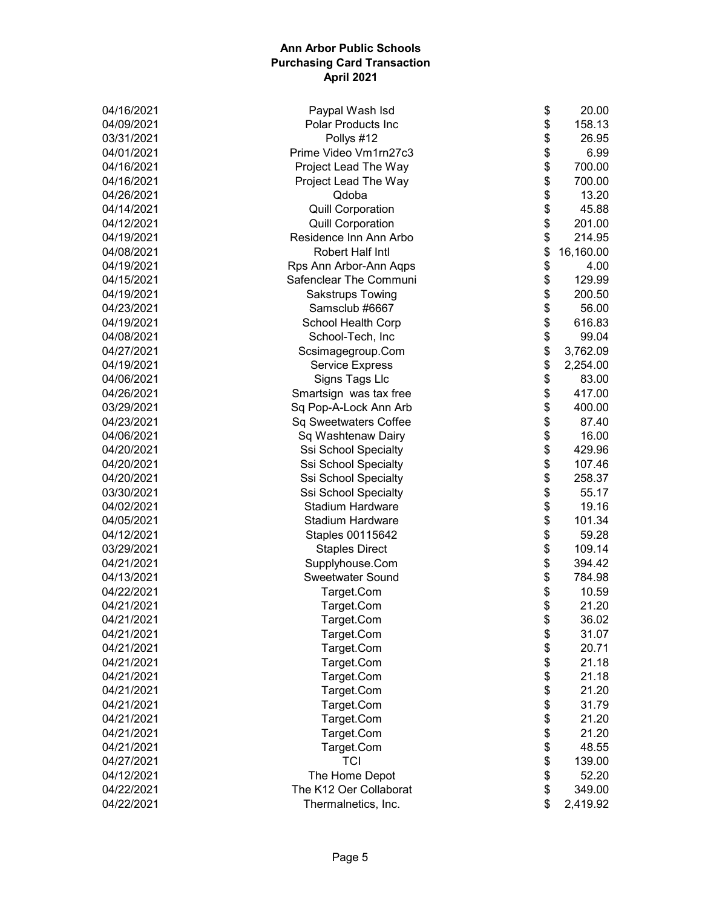| \$<br>Paypal Wash Isd<br>\$<br>04/09/2021<br><b>Polar Products Inc</b> | 158.13    |
|------------------------------------------------------------------------|-----------|
|                                                                        |           |
| \$<br>Pollys #12<br>03/31/2021                                         | 26.95     |
| \$<br>Prime Video Vm1rn27c3<br>04/01/2021                              | 6.99      |
| \$<br>04/16/2021<br>Project Lead The Way                               | 700.00    |
| \$<br>04/16/2021<br>Project Lead The Way                               | 700.00    |
| \$<br>Qdoba<br>04/26/2021                                              | 13.20     |
| \$<br>04/14/2021<br><b>Quill Corporation</b>                           | 45.88     |
| \$<br>04/12/2021<br><b>Quill Corporation</b>                           | 201.00    |
| \$<br>Residence Inn Ann Arbo<br>04/19/2021                             | 214.95    |
| \$<br>Robert Half Intl<br>04/08/2021                                   | 16,160.00 |
| \$<br>Rps Ann Arbor-Ann Aqps<br>04/19/2021                             | 4.00      |
| \$<br>Safenclear The Communi<br>04/15/2021                             | 129.99    |
| \$<br>04/19/2021<br>Sakstrups Towing                                   | 200.50    |
| \$<br>Samsclub #6667<br>04/23/2021                                     | 56.00     |
| \$<br>School Health Corp<br>04/19/2021                                 | 616.83    |
| \$<br>04/08/2021<br>School-Tech, Inc                                   | 99.04     |
| \$<br>04/27/2021<br>Scsimagegroup.Com                                  | 3,762.09  |
| \$<br>04/19/2021<br><b>Service Express</b>                             | 2,254.00  |
| \$<br>04/06/2021<br>Signs Tags Llc                                     | 83.00     |
| \$<br>04/26/2021<br>Smartsign was tax free                             | 417.00    |
| \$<br>03/29/2021<br>Sq Pop-A-Lock Ann Arb                              | 400.00    |
| \$<br>04/23/2021<br>Sq Sweetwaters Coffee                              | 87.40     |
| \$<br>Sq Washtenaw Dairy<br>04/06/2021                                 | 16.00     |
| \$<br>04/20/2021<br>Ssi School Specialty                               | 429.96    |
| \$<br>04/20/2021<br>Ssi School Specialty                               | 107.46    |
| \$<br>04/20/2021<br>Ssi School Specialty                               | 258.37    |
| \$<br>Ssi School Specialty<br>03/30/2021                               | 55.17     |
| \$<br>04/02/2021<br><b>Stadium Hardware</b>                            | 19.16     |
| \$<br>04/05/2021<br><b>Stadium Hardware</b>                            | 101.34    |
| \$<br>04/12/2021<br>Staples 00115642                                   | 59.28     |
| \$<br>03/29/2021<br><b>Staples Direct</b>                              | 109.14    |
| \$<br>04/21/2021<br>Supplyhouse.Com                                    | 394.42    |
| \$<br>04/13/2021<br>Sweetwater Sound                                   | 784.98    |
| \$<br>04/22/2021<br>Target.Com                                         | 10.59     |
| \$<br>04/21/2021<br>Target.Com                                         | 21.20     |
| 04/21/2021<br>Target.Com<br>\$                                         | 36.02     |
| \$<br>04/21/2021<br>Target.Com                                         | 31.07     |
| \$<br>04/21/2021<br>Target.Com                                         | 20.71     |
| \$<br>Target.Com<br>04/21/2021                                         | 21.18     |
| \$<br>Target.Com<br>04/21/2021                                         | 21.18     |
| \$<br>Target.Com<br>04/21/2021                                         | 21.20     |
| \$<br>04/21/2021<br>Target.Com                                         | 31.79     |
| \$<br>04/21/2021<br>Target.Com                                         | 21.20     |
| \$<br>Target.Com<br>04/21/2021                                         | 21.20     |
| \$<br>Target.Com<br>04/21/2021                                         | 48.55     |
| \$<br><b>TCI</b><br>04/27/2021                                         | 139.00    |
| \$<br>04/12/2021<br>The Home Depot                                     | 52.20     |
| \$<br>The K12 Oer Collaborat<br>04/22/2021                             | 349.00    |
| \$<br>04/22/2021<br>Thermalnetics, Inc.                                | 2,419.92  |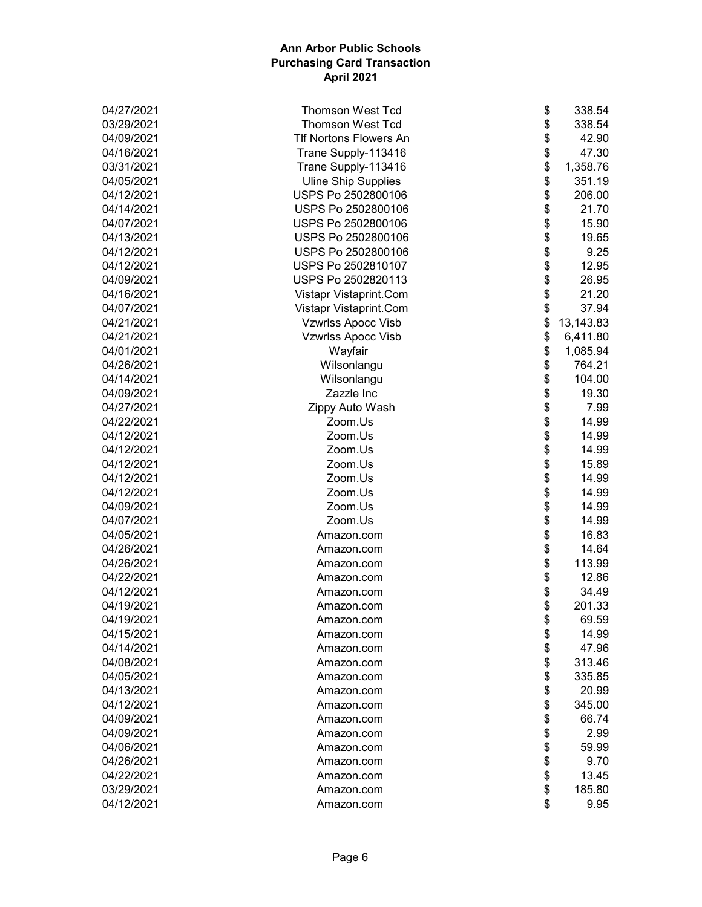| 04/27/2021 | \$<br><b>Thomson West Tcd</b>       | 338.54    |
|------------|-------------------------------------|-----------|
| 03/29/2021 | \$<br><b>Thomson West Tcd</b>       | 338.54    |
| 04/09/2021 | \$<br><b>TIf Nortons Flowers An</b> | 42.90     |
| 04/16/2021 | \$<br>Trane Supply-113416           | 47.30     |
| 03/31/2021 | \$<br>Trane Supply-113416           | 1,358.76  |
| 04/05/2021 | \$<br><b>Uline Ship Supplies</b>    | 351.19    |
| 04/12/2021 | \$<br>USPS Po 2502800106            | 206.00    |
| 04/14/2021 | \$<br>USPS Po 2502800106            | 21.70     |
| 04/07/2021 | \$<br>USPS Po 2502800106            | 15.90     |
| 04/13/2021 | \$<br>USPS Po 2502800106            | 19.65     |
| 04/12/2021 | \$<br>USPS Po 2502800106            | 9.25      |
| 04/12/2021 | \$<br>USPS Po 2502810107            | 12.95     |
| 04/09/2021 | \$<br>USPS Po 2502820113            | 26.95     |
| 04/16/2021 | \$<br>Vistapr Vistaprint.Com        | 21.20     |
| 04/07/2021 | \$<br>Vistapr Vistaprint.Com        | 37.94     |
| 04/21/2021 | \$<br><b>Vzwrlss Apocc Visb</b>     | 13,143.83 |
| 04/21/2021 | \$<br><b>Vzwrlss Apocc Visb</b>     | 6,411.80  |
| 04/01/2021 | \$<br>Wayfair                       | 1,085.94  |
| 04/26/2021 | \$<br>Wilsonlangu                   | 764.21    |
| 04/14/2021 | \$<br>Wilsonlangu                   | 104.00    |
| 04/09/2021 | \$<br>Zazzle Inc                    | 19.30     |
| 04/27/2021 | \$<br>Zippy Auto Wash               | 7.99      |
| 04/22/2021 | \$<br>Zoom.Us                       | 14.99     |
| 04/12/2021 | \$<br>Zoom.Us                       | 14.99     |
| 04/12/2021 | \$<br>Zoom.Us                       | 14.99     |
| 04/12/2021 | \$<br>Zoom.Us                       | 15.89     |
| 04/12/2021 | \$<br>Zoom.Us                       | 14.99     |
| 04/12/2021 | \$<br>Zoom.Us                       | 14.99     |
| 04/09/2021 | \$<br>Zoom.Us                       | 14.99     |
| 04/07/2021 | \$<br>Zoom.Us                       | 14.99     |
| 04/05/2021 | \$<br>Amazon.com                    | 16.83     |
| 04/26/2021 | \$<br>Amazon.com                    | 14.64     |
| 04/26/2021 | \$<br>Amazon.com                    | 113.99    |
| 04/22/2021 | \$<br>Amazon.com                    | 12.86     |
| 04/12/2021 | \$<br>Amazon.com                    | 34.49     |
| 04/19/2021 | \$<br>Amazon.com                    | 201.33    |
| 04/19/2021 | \$<br>Amazon.com                    | 69.59     |
| 04/15/2021 | \$<br>Amazon.com                    | 14.99     |
| 04/14/2021 | \$<br>Amazon.com                    | 47.96     |
| 04/08/2021 | \$<br>Amazon.com                    | 313.46    |
| 04/05/2021 | \$<br>Amazon.com                    | 335.85    |
| 04/13/2021 | \$<br>Amazon.com                    | 20.99     |
| 04/12/2021 | \$<br>Amazon.com                    | 345.00    |
| 04/09/2021 | \$<br>Amazon.com                    | 66.74     |
| 04/09/2021 | \$<br>Amazon.com                    | 2.99      |
| 04/06/2021 | \$<br>Amazon.com                    | 59.99     |
| 04/26/2021 | \$<br>Amazon.com                    | 9.70      |
| 04/22/2021 | \$<br>Amazon.com                    | 13.45     |
| 03/29/2021 | \$<br>Amazon.com                    | 185.80    |
| 04/12/2021 | \$<br>Amazon.com                    | 9.95      |
|            |                                     |           |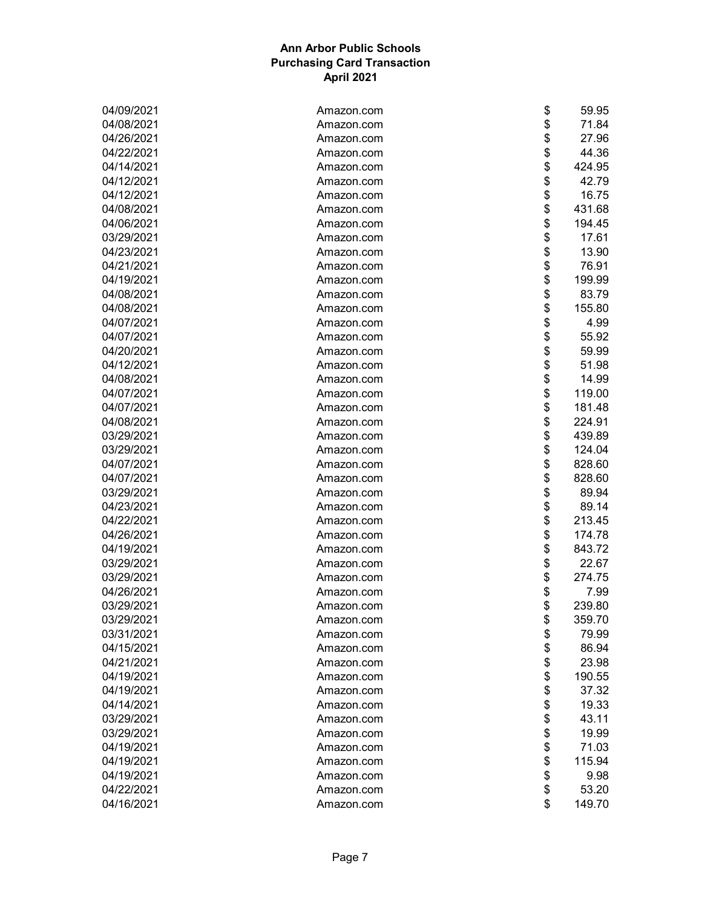| 04/09/2021 | Amazon.com | \$<br>59.95  |
|------------|------------|--------------|
| 04/08/2021 | Amazon.com | \$<br>71.84  |
| 04/26/2021 | Amazon.com | \$<br>27.96  |
| 04/22/2021 | Amazon.com | \$<br>44.36  |
| 04/14/2021 | Amazon.com | \$<br>424.95 |
| 04/12/2021 | Amazon.com | \$<br>42.79  |
| 04/12/2021 | Amazon.com | \$<br>16.75  |
| 04/08/2021 | Amazon.com | \$<br>431.68 |
| 04/06/2021 | Amazon.com | \$<br>194.45 |
| 03/29/2021 | Amazon.com | \$<br>17.61  |
| 04/23/2021 | Amazon.com | \$<br>13.90  |
| 04/21/2021 | Amazon.com | \$<br>76.91  |
| 04/19/2021 | Amazon.com | \$<br>199.99 |
| 04/08/2021 | Amazon.com | \$<br>83.79  |
| 04/08/2021 | Amazon.com | \$<br>155.80 |
| 04/07/2021 | Amazon.com | \$<br>4.99   |
| 04/07/2021 | Amazon.com | \$<br>55.92  |
| 04/20/2021 | Amazon.com | \$<br>59.99  |
| 04/12/2021 | Amazon.com | \$<br>51.98  |
| 04/08/2021 | Amazon.com | \$<br>14.99  |
| 04/07/2021 | Amazon.com | \$<br>119.00 |
| 04/07/2021 | Amazon.com | \$<br>181.48 |
| 04/08/2021 | Amazon.com | \$<br>224.91 |
| 03/29/2021 | Amazon.com | \$<br>439.89 |
| 03/29/2021 | Amazon.com | \$<br>124.04 |
| 04/07/2021 | Amazon.com | \$<br>828.60 |
| 04/07/2021 | Amazon.com | \$<br>828.60 |
| 03/29/2021 | Amazon.com | \$<br>89.94  |
| 04/23/2021 | Amazon.com | \$<br>89.14  |
| 04/22/2021 | Amazon.com | \$<br>213.45 |
| 04/26/2021 | Amazon.com | \$<br>174.78 |
| 04/19/2021 | Amazon.com | \$<br>843.72 |
| 03/29/2021 | Amazon.com | \$<br>22.67  |
| 03/29/2021 | Amazon.com | \$<br>274.75 |
| 04/26/2021 | Amazon.com | \$<br>7.99   |
| 03/29/2021 | Amazon.com | \$<br>239.80 |
| 03/29/2021 | Amazon.com | \$<br>359.70 |
| 03/31/2021 | Amazon.com | \$<br>79.99  |
| 04/15/2021 | Amazon.com | \$<br>86.94  |
| 04/21/2021 | Amazon.com | \$<br>23.98  |
| 04/19/2021 | Amazon.com | \$<br>190.55 |
| 04/19/2021 | Amazon.com | \$<br>37.32  |
| 04/14/2021 | Amazon.com | \$<br>19.33  |
| 03/29/2021 | Amazon.com | \$<br>43.11  |
| 03/29/2021 | Amazon.com | \$<br>19.99  |
| 04/19/2021 | Amazon.com | \$<br>71.03  |
| 04/19/2021 | Amazon.com | \$<br>115.94 |
| 04/19/2021 | Amazon.com | \$<br>9.98   |
| 04/22/2021 | Amazon.com | \$<br>53.20  |
|            |            | \$           |
| 04/16/2021 | Amazon.com | 149.70       |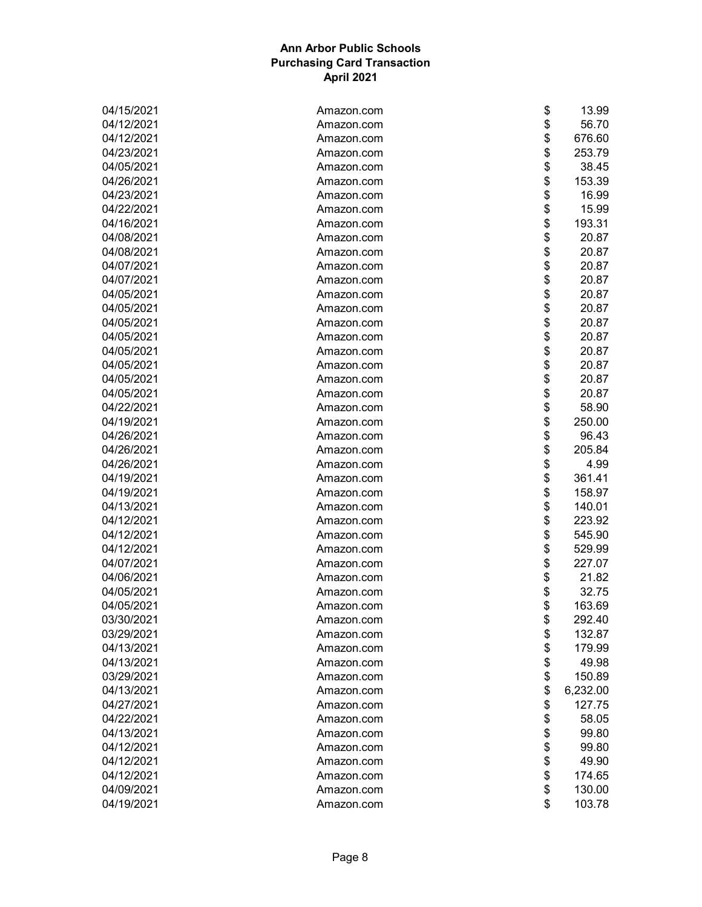| 04/15/2021 | \$<br>Amazon.com               | 13.99    |
|------------|--------------------------------|----------|
| 04/12/2021 | \$<br>Amazon.com               | 56.70    |
| 04/12/2021 | \$<br>Amazon.com               | 676.60   |
| 04/23/2021 | \$<br>Amazon.com               | 253.79   |
| 04/05/2021 | \$<br>Amazon.com               | 38.45    |
| 04/26/2021 | \$<br>Amazon.com               | 153.39   |
| 04/23/2021 | \$<br>Amazon.com               | 16.99    |
| 04/22/2021 | \$<br>Amazon.com               | 15.99    |
| 04/16/2021 | \$<br>Amazon.com               | 193.31   |
| 04/08/2021 | \$<br>Amazon.com               | 20.87    |
| 04/08/2021 | \$<br>Amazon.com               | 20.87    |
| 04/07/2021 | \$<br>Amazon.com               | 20.87    |
| 04/07/2021 | \$<br>Amazon.com               | 20.87    |
| 04/05/2021 | \$<br>Amazon.com               | 20.87    |
| 04/05/2021 | \$<br>Amazon.com               | 20.87    |
| 04/05/2021 | \$<br>Amazon.com               | 20.87    |
| 04/05/2021 | \$<br>Amazon.com               | 20.87    |
| 04/05/2021 | \$<br>Amazon.com               | 20.87    |
| 04/05/2021 | \$<br>Amazon.com               | 20.87    |
| 04/05/2021 | \$<br>Amazon.com               | 20.87    |
| 04/05/2021 | \$<br>Amazon.com               | 20.87    |
| 04/22/2021 | \$<br>Amazon.com               | 58.90    |
| 04/19/2021 | \$<br>Amazon.com               | 250.00   |
| 04/26/2021 | \$<br>Amazon.com               | 96.43    |
| 04/26/2021 | \$<br>Amazon.com               | 205.84   |
| 04/26/2021 | \$<br>Amazon.com               | 4.99     |
| 04/19/2021 | \$<br>Amazon.com               | 361.41   |
| 04/19/2021 | \$<br>Amazon.com               | 158.97   |
| 04/13/2021 | \$<br>Amazon.com               | 140.01   |
| 04/12/2021 | \$<br>Amazon.com               | 223.92   |
| 04/12/2021 | \$<br>Amazon.com               | 545.90   |
| 04/12/2021 | \$<br>Amazon.com               | 529.99   |
| 04/07/2021 | \$<br>Amazon.com               | 227.07   |
| 04/06/2021 | \$<br>Amazon.com               | 21.82    |
| 04/05/2021 | \$<br>Amazon.com               | 32.75    |
| 04/05/2021 | \$<br>Amazon.com               | 163.69   |
| 03/30/2021 |                                | 292.40   |
| 03/29/2021 | \$<br>Amazon.com<br>\$         | 132.87   |
| 04/13/2021 | Amazon.com<br>\$<br>Amazon.com |          |
| 04/13/2021 | \$                             | 179.99   |
| 03/29/2021 | Amazon.com                     | 49.98    |
|            | \$<br>Amazon.com               | 150.89   |
| 04/13/2021 | \$<br>Amazon.com               | 6,232.00 |
| 04/27/2021 | \$<br>Amazon.com               | 127.75   |
| 04/22/2021 | \$<br>Amazon.com               | 58.05    |
| 04/13/2021 | \$<br>Amazon.com               | 99.80    |
| 04/12/2021 | \$<br>Amazon.com               | 99.80    |
| 04/12/2021 | \$<br>Amazon.com               | 49.90    |
| 04/12/2021 | \$<br>Amazon.com               | 174.65   |
| 04/09/2021 | \$<br>Amazon.com               | 130.00   |
| 04/19/2021 | \$<br>Amazon.com               | 103.78   |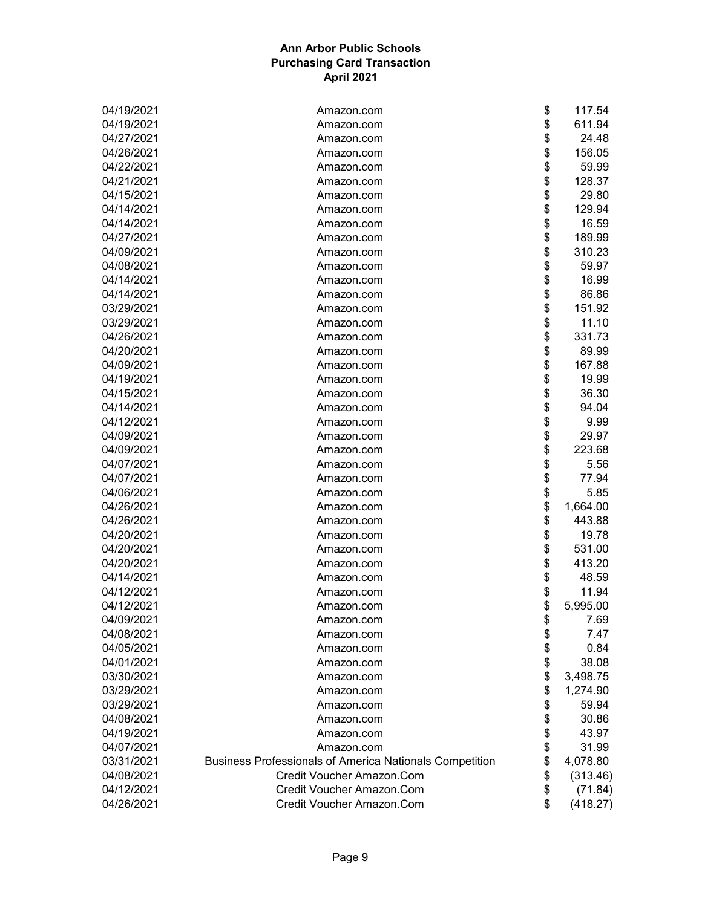| 04/19/2021 | Amazon.com                                                     | \$<br>117.54   |
|------------|----------------------------------------------------------------|----------------|
| 04/19/2021 | Amazon.com                                                     | \$<br>611.94   |
| 04/27/2021 | Amazon.com                                                     | \$<br>24.48    |
| 04/26/2021 | Amazon.com                                                     | \$<br>156.05   |
| 04/22/2021 | Amazon.com                                                     | \$<br>59.99    |
| 04/21/2021 | Amazon.com                                                     | \$<br>128.37   |
| 04/15/2021 | Amazon.com                                                     | \$<br>29.80    |
| 04/14/2021 | Amazon.com                                                     | \$<br>129.94   |
| 04/14/2021 | Amazon.com                                                     | \$<br>16.59    |
| 04/27/2021 | Amazon.com                                                     | \$<br>189.99   |
| 04/09/2021 | Amazon.com                                                     | \$<br>310.23   |
| 04/08/2021 | Amazon.com                                                     | \$<br>59.97    |
| 04/14/2021 | Amazon.com                                                     | \$<br>16.99    |
| 04/14/2021 | Amazon.com                                                     | \$<br>86.86    |
| 03/29/2021 | Amazon.com                                                     | \$<br>151.92   |
| 03/29/2021 | Amazon.com                                                     | \$<br>11.10    |
| 04/26/2021 | Amazon.com                                                     | \$<br>331.73   |
| 04/20/2021 | Amazon.com                                                     | \$<br>89.99    |
| 04/09/2021 | Amazon.com                                                     | \$<br>167.88   |
| 04/19/2021 | Amazon.com                                                     | \$<br>19.99    |
| 04/15/2021 | Amazon.com                                                     | \$<br>36.30    |
| 04/14/2021 |                                                                | \$<br>94.04    |
| 04/12/2021 | Amazon.com                                                     |                |
|            | Amazon.com                                                     | \$<br>9.99     |
| 04/09/2021 | Amazon.com                                                     | \$<br>29.97    |
| 04/09/2021 | Amazon.com                                                     | \$<br>223.68   |
| 04/07/2021 | Amazon.com                                                     | \$<br>5.56     |
| 04/07/2021 | Amazon.com                                                     | \$<br>77.94    |
| 04/06/2021 | Amazon.com                                                     | \$<br>5.85     |
| 04/26/2021 | Amazon.com                                                     | \$<br>1,664.00 |
| 04/26/2021 | Amazon.com                                                     | \$<br>443.88   |
| 04/20/2021 | Amazon.com                                                     | \$<br>19.78    |
| 04/20/2021 | Amazon.com                                                     | \$<br>531.00   |
| 04/20/2021 | Amazon.com                                                     | \$<br>413.20   |
| 04/14/2021 | Amazon.com                                                     | \$<br>48.59    |
| 04/12/2021 | Amazon.com                                                     | \$<br>11.94    |
| 04/12/2021 | Amazon.com                                                     | \$<br>5,995.00 |
| 04/09/2021 | Amazon.com                                                     | \$<br>7.69     |
| 04/08/2021 | Amazon.com                                                     | \$<br>7.47     |
| 04/05/2021 | Amazon.com                                                     | \$<br>0.84     |
| 04/01/2021 | Amazon.com                                                     | \$<br>38.08    |
| 03/30/2021 | Amazon.com                                                     | \$<br>3,498.75 |
| 03/29/2021 | Amazon.com                                                     | \$<br>1,274.90 |
| 03/29/2021 | Amazon.com                                                     | \$<br>59.94    |
| 04/08/2021 | Amazon.com                                                     | \$<br>30.86    |
| 04/19/2021 | Amazon.com                                                     | \$<br>43.97    |
| 04/07/2021 | Amazon.com                                                     | \$<br>31.99    |
| 03/31/2021 | <b>Business Professionals of America Nationals Competition</b> | \$<br>4,078.80 |
| 04/08/2021 | Credit Voucher Amazon.Com                                      | \$<br>(313.46) |
| 04/12/2021 | Credit Voucher Amazon.Com                                      | \$<br>(71.84)  |
| 04/26/2021 | Credit Voucher Amazon.Com                                      | \$<br>(418.27) |